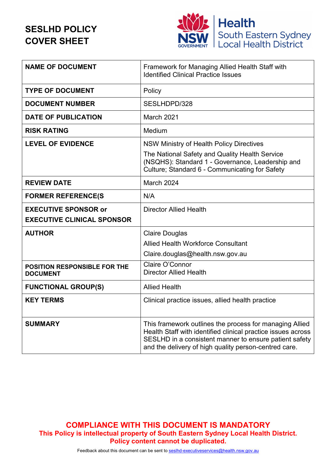# **SESLHD POLICY COVER SHEET**



| <b>NAME OF DOCUMENT</b>                         | Framework for Managing Allied Health Staff with<br><b>Identified Clinical Practice Issues</b>                                                                                                                                              |
|-------------------------------------------------|--------------------------------------------------------------------------------------------------------------------------------------------------------------------------------------------------------------------------------------------|
| <b>TYPE OF DOCUMENT</b>                         | Policy                                                                                                                                                                                                                                     |
| <b>DOCUMENT NUMBER</b>                          | SESLHDPD/328                                                                                                                                                                                                                               |
| <b>DATE OF PUBLICATION</b>                      | March 2021                                                                                                                                                                                                                                 |
| <b>RISK RATING</b>                              | Medium                                                                                                                                                                                                                                     |
| <b>LEVEL OF EVIDENCE</b>                        | NSW Ministry of Health Policy Directives                                                                                                                                                                                                   |
|                                                 | The National Safety and Quality Health Service<br>(NSQHS): Standard 1 - Governance, Leadership and<br>Culture; Standard 6 - Communicating for Safety                                                                                       |
| <b>REVIEW DATE</b>                              | March 2024                                                                                                                                                                                                                                 |
| <b>FORMER REFERENCE(S</b>                       | N/A                                                                                                                                                                                                                                        |
| <b>EXECUTIVE SPONSOR or</b>                     | <b>Director Allied Health</b>                                                                                                                                                                                                              |
| <b>EXECUTIVE CLINICAL SPONSOR</b>               |                                                                                                                                                                                                                                            |
| <b>AUTHOR</b>                                   | <b>Claire Douglas</b>                                                                                                                                                                                                                      |
|                                                 | <b>Allied Health Workforce Consultant</b>                                                                                                                                                                                                  |
|                                                 | Claire.douglas@health.nsw.gov.au                                                                                                                                                                                                           |
| POSITION RESPONSIBLE FOR THE<br><b>DOCUMENT</b> | Claire O'Connor<br><b>Director Allied Health</b>                                                                                                                                                                                           |
| <b>FUNCTIONAL GROUP(S)</b>                      | <b>Allied Health</b>                                                                                                                                                                                                                       |
| <b>KEY TERMS</b>                                | Clinical practice issues, allied health practice                                                                                                                                                                                           |
| <b>SUMMARY</b>                                  | This framework outlines the process for managing Allied<br>Health Staff with identified clinical practice issues across<br>SESLHD in a consistent manner to ensure patient safety<br>and the delivery of high quality person-centred care. |

**COMPLIANCE WITH THIS DOCUMENT IS MANDATORY This Policy is intellectual property of South Eastern Sydney Local Health District. Policy content cannot be duplicated.**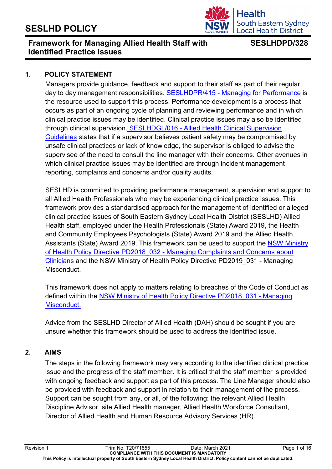

## **Framework for Managing Allied Health Staff with Identified Practice Issues**

## **SESLHDPD/328**

#### **1. POLICY STATEMENT**

Managers provide guidance, feedback and support to their staff as part of their regular day to day management responsibilities. SESLHDPR/415 - [Managing for Performance](https://www.seslhd.health.nsw.gov.au/sites/default/files/migration/Policies_Procedures_Guidelines/Workforce/HR_Consulting/documents/SESLHDPR415ManagingforPerformance_new.pdf) is the resource used to support this process. Performance development is a process that occurs as part of an ongoing cycle of planning and reviewing performance and in which clinical practice issues may be identified. Clinical practice issues may also be identified through clinical supervision. SESLHDGL/016 - [Allied Health Clinical Supervision](https://www.seslhd.health.nsw.gov.au/policies-and-publications/functional-group/76)  [Guidelines](https://www.seslhd.health.nsw.gov.au/policies-and-publications/functional-group/76) states that if a supervisor believes patient safety may be compromised by unsafe clinical practices or lack of knowledge, the supervisor is obliged to advise the supervisee of the need to consult the line manager with their concerns. Other avenues in which clinical practice issues may be identified are through incident management reporting, complaints and concerns and/or quality audits.

SESLHD is committed to providing performance management, supervision and support to all Allied Health Professionals who may be experiencing clinical practice issues. This framework provides a standardised approach for the management of identified or alleged clinical practice issues of South Eastern Sydney Local Health District (SESLHD) Allied Health staff, employed under the Health Professionals (State) Award 2019, the Health and Community Employees Psychologists (State) Award 2019 and the Allied Health Assistants (State) Award 2019. This framework can be used to support the NSW [Ministry](https://www1.health.nsw.gov.au/pds/Pages/doc.aspx?dn=PD2018_032)  of Health Policy Directive PD2018\_032 - [Managing Complaints and Concerns about](https://www1.health.nsw.gov.au/pds/Pages/doc.aspx?dn=PD2018_032)  [Clinicians](https://www1.health.nsw.gov.au/pds/Pages/doc.aspx?dn=PD2018_032) and the NSW Ministry of Health Policy Directive PD2019\_031 - Managing Misconduct.

This framework does not apply to matters relating to breaches of the Code of Conduct as defined within the [NSW Ministry of Health Policy](https://www1.health.nsw.gov.au/pds/Pages/doc.aspx?dn=PD2018_031) Directive PD2018 031 - Managing [Misconduct.](https://www1.health.nsw.gov.au/pds/Pages/doc.aspx?dn=PD2018_031) 

Advice from the SESLHD Director of Allied Health (DAH) should be sought if you are unsure whether this framework should be used to address the identified issue.

#### **2. AIMS**

The steps in the following framework may vary according to the identified clinical practice issue and the progress of the staff member. It is critical that the staff member is provided with ongoing feedback and support as part of this process. The Line Manager should also be provided with feedback and support in relation to their management of the process. Support can be sought from any, or all, of the following: the relevant Allied Health Discipline Advisor, site Allied Health manager, Allied Health Workforce Consultant, Director of Allied Health and Human Resource Advisory Services (HR).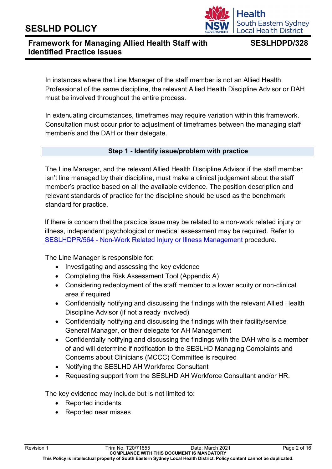

## **SESLHDPD/328**

In instances where the Line Manager of the staff member is not an Allied Health Professional of the same discipline, the relevant Allied Health Discipline Advisor or DAH must be involved throughout the entire process.

In extenuating circumstances, timeframes may require variation within this framework. Consultation must occur prior to adjustment of timeframes between the managing staff member/s and the DAH or their delegate.

#### **Step 1 - Identify issue/problem with practice**

The Line Manager, and the relevant Allied Health Discipline Advisor if the staff member isn't line managed by their discipline, must make a clinical judgement about the staff member's practice based on all the available evidence. The position description and relevant standards of practice for the discipline should be used as the benchmark standard for practice.

If there is concern that the practice issue may be related to a non-work related injury or illness, independent psychological or medical assessment may be required. Refer to SESLHDPR/564 - [Non-Work Related Injury or Illness Management](https://www.seslhd.health.nsw.gov.au/policies-and-publications/functional-group/104) procedure.

The Line Manager is responsible for:

- Investigating and assessing the key evidence
- Completing the Risk Assessment Tool (Appendix A)
- Considering redeployment of the staff member to a lower acuity or non-clinical area if required
- Confidentially notifying and discussing the findings with the relevant Allied Health Discipline Advisor (if not already involved)
- Confidentially notifying and discussing the findings with their facility/service General Manager, or their delegate for AH Management
- Confidentially notifying and discussing the findings with the DAH who is a member of and will determine if notification to the SESLHD Managing Complaints and Concerns about Clinicians (MCCC) Committee is required
- Notifying the SESLHD AH Workforce Consultant
- Requesting support from the SESLHD AH Workforce Consultant and/or HR.

The key evidence may include but is not limited to:

- Reported incidents
- Reported near misses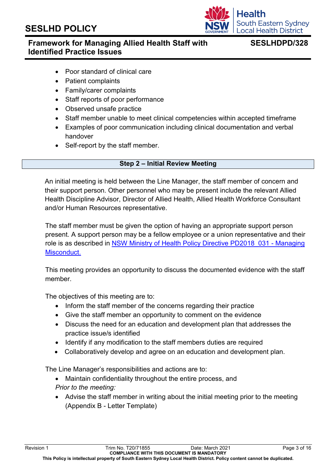

## **Framework for Managing Allied Health Staff with Identified Practice Issues**

## **SESLHDPD/328**

- Poor standard of clinical care
- Patient complaints
- Family/carer complaints
- Staff reports of poor performance
- Observed unsafe practice
- Staff member unable to meet clinical competencies within accepted timeframe
- Examples of poor communication including clinical documentation and verbal handover
- Self-report by the staff member.

#### **Step 2 – Initial Review Meeting**

An initial meeting is held between the Line Manager, the staff member of concern and their support person. Other personnel who may be present include the relevant Allied Health Discipline Advisor, Director of Allied Health, Allied Health Workforce Consultant and/or Human Resources representative.

The staff member must be given the option of having an appropriate support person present. A support person may be a fellow employee or a union representative and their role is as described in [NSW Ministry of Health Policy Directive PD2018\\_031 -](https://www1.health.nsw.gov.au/pds/Pages/doc.aspx?dn=PD2018_031) Managing [Misconduct.](https://www1.health.nsw.gov.au/pds/Pages/doc.aspx?dn=PD2018_031)

This meeting provides an opportunity to discuss the documented evidence with the staff member.

The objectives of this meeting are to:

- Inform the staff member of the concerns regarding their practice
- Give the staff member an opportunity to comment on the evidence
- Discuss the need for an education and development plan that addresses the practice issue/s identified
- Identify if any modification to the staff members duties are required
- Collaboratively develop and agree on an education and development plan.

The Line Manager's responsibilities and actions are to:

- Maintain confidentiality throughout the entire process, and *Prior to the meeting:*
- Advise the staff member in writing about the initial meeting prior to the meeting (Appendix B - Letter Template)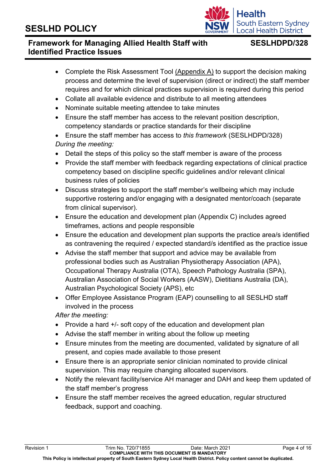

## **SESLHDPD/328**

- Complete the Risk Assessment Tool [\(Appendix A\)](http://seslhnweb/Forms_and_Templates/Forms/Nursing_and_Midwifery/2016/SESLHDDistrictFormF242RiskAssessmentTool.DOCX) to support the decision making process and determine the level of supervision (direct or indirect) the staff member requires and for which clinical practices supervision is required during this period
- Collate all available evidence and distribute to all meeting attendees
- Nominate suitable meeting attendee to take minutes
- Ensure the staff member has access to the relevant position description, competency standards or practice standards for their discipline
- Ensure the staff member has access to *this framework* (SESLHDPD/328) *During the meeting:*
- Detail the steps of this policy so the staff member is aware of the process
- Provide the staff member with feedback regarding expectations of clinical practice competency based on discipline specific guidelines and/or relevant clinical business rules of policies
- Discuss strategies to support the staff member's wellbeing which may include supportive rostering and/or engaging with a designated mentor/coach (separate from clinical supervisor).
- Ensure the education and development plan (Appendix C) includes agreed timeframes, actions and people responsible
- Ensure the education and development plan supports the practice area/s identified as contravening the required / expected standard/s identified as the practice issue
- Advise the staff member that support and advice may be available from professional bodies such as Australian Physiotherapy Association (APA), Occupational Therapy Australia (OTA), Speech Pathology Australia (SPA), Australian Association of Social Workers (AASW), Dietitians Australia (DA), Australian Psychological Society (APS), etc
- Offer Employee Assistance Program (EAP) counselling to all SESLHD staff involved in the process

*After the meeting:* 

- Provide a hard +/- soft copy of the education and development plan
- Advise the staff member in writing about the follow up meeting
- Ensure minutes from the meeting are documented, validated by signature of all present, and copies made available to those present
- Ensure there is an appropriate senior clinician nominated to provide clinical supervision. This may require changing allocated supervisors.
- Notify the relevant facility/service AH manager and DAH and keep them updated of the staff member's progress
- Ensure the staff member receives the agreed education, regular structured feedback, support and coaching.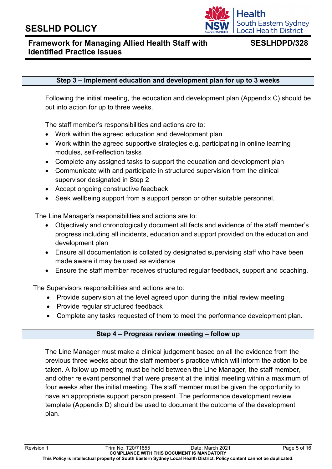

## **SESLHDPD/328**

#### **Step 3 – Implement education and development plan for up to 3 weeks**

Following the initial meeting, the education and development plan (Appendix C) should be put into action for up to three weeks.

The staff member's responsibilities and actions are to:

- Work within the agreed education and development plan
- Work within the agreed supportive strategies e.g. participating in online learning modules, self-reflection tasks
- Complete any assigned tasks to support the education and development plan
- Communicate with and participate in structured supervision from the clinical supervisor designated in Step 2
- Accept ongoing constructive feedback
- Seek wellbeing support from a support person or other suitable personnel.

The Line Manager's responsibilities and actions are to:

- Objectively and chronologically document all facts and evidence of the staff member's progress including all incidents, education and support provided on the education and development plan
- Ensure all documentation is collated by designated supervising staff who have been made aware it may be used as evidence
- Ensure the staff member receives structured regular feedback, support and coaching.

The Supervisors responsibilities and actions are to:

- Provide supervision at the level agreed upon during the initial review meeting
- Provide regular structured feedback
- Complete any tasks requested of them to meet the performance development plan.

#### **Step 4 – Progress review meeting – follow up**

The Line Manager must make a clinical judgement based on all the evidence from the previous three weeks about the staff member's practice which will inform the action to be taken. A follow up meeting must be held between the Line Manager, the staff member, and other relevant personnel that were present at the initial meeting within a maximum of four weeks after the initial meeting. The staff member must be given the opportunity to have an appropriate support person present. The performance development review template (Appendix D) should be used to document the outcome of the development plan.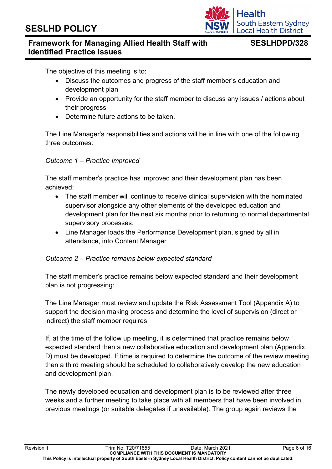

## **Framework for Managing Allied Health Staff with Identified Practice Issues**

## **SESLHDPD/328**

The objective of this meeting is to:

- Discuss the outcomes and progress of the staff member's education and development plan
- Provide an opportunity for the staff member to discuss any issues / actions about their progress
- Determine future actions to be taken.

The Line Manager's responsibilities and actions will be in line with one of the following three outcomes:

#### *Outcome 1 – Practice Improved*

The staff member's practice has improved and their development plan has been achieved:

- The staff member will continue to receive clinical supervision with the nominated supervisor alongside any other elements of the developed education and development plan for the next six months prior to returning to normal departmental supervisory processes.
- Line Manager loads the Performance Development plan, signed by all in attendance, into Content Manager

#### *Outcome 2 – Practice remains below expected standard*

The staff member's practice remains below expected standard and their development plan is not progressing:

The Line Manager must review and update the Risk Assessment Tool (Appendix A) to support the decision making process and determine the level of supervision (direct or indirect) the staff member requires.

If, at the time of the follow up meeting, it is determined that practice remains below expected standard then a new collaborative education and development plan (Appendix D) must be developed. If time is required to determine the outcome of the review meeting then a third meeting should be scheduled to collaboratively develop the new education and development plan.

The newly developed education and development plan is to be reviewed after three weeks and a further meeting to take place with all members that have been involved in previous meetings (or suitable delegates if unavailable). The group again reviews the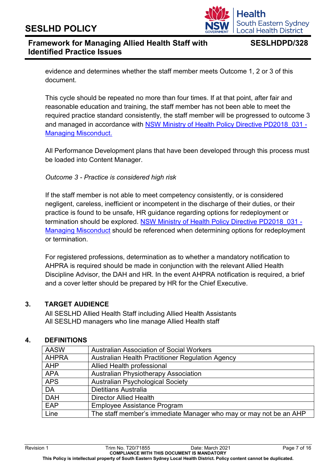## Health **South Eastern Sydney** ocal Health District.

## **Framework for Managing Allied Health Staff with Identified Practice Issues**

## **SESLHDPD/328**

evidence and determines whether the staff member meets Outcome 1, 2 or 3 of this document.

This cycle should be repeated no more than four times. If at that point, after fair and reasonable education and training, the staff member has not been able to meet the required practice standard consistently, the staff member will be progressed to outcome 3 and managed in accordance with NSW Ministry of Health Policy Directive PD2018 031 -[Managing Misconduct.](https://www1.health.nsw.gov.au/pds/Pages/doc.aspx?dn=PD2018_031)

All Performance Development plans that have been developed through this process must be loaded into Content Manager.

#### *Outcome 3 - Practice is considered high risk*

If the staff member is not able to meet competency consistently, or is considered negligent, careless, inefficient or incompetent in the discharge of their duties, or their practice is found to be unsafe, HR guidance regarding options for redeployment or termination should be explored. NSW Ministry of Health Policy Directive PD2018 031 -Managing Misconduct should be referenced when determining options for redeployment or termination.

For registered professions, determination as to whether a mandatory notification to AHPRA is required should be made in conjunction with the relevant Allied Health Discipline Advisor, the DAH and HR. In the event AHPRA notification is required, a brief and a cover letter should be prepared by HR for the Chief Executive.

### **3. TARGET AUDIENCE**

All SESLHD Allied Health Staff including Allied Health Assistants All SESLHD managers who line manage Allied Health staff

### **4. DEFINITIONS**

| <b>AASW</b>  | <b>Australian Association of Social Workers</b>                   |
|--------------|-------------------------------------------------------------------|
| <b>AHPRA</b> | Australian Health Practitioner Regulation Agency                  |
| <b>AHP</b>   | Allied Health professional                                        |
| <b>APA</b>   | <b>Australian Physiotherapy Association</b>                       |
| <b>APS</b>   | <b>Australian Psychological Society</b>                           |
| <b>DA</b>    | <b>Dietitians Australia</b>                                       |
| <b>DAH</b>   | <b>Director Allied Health</b>                                     |
| EAP          | <b>Employee Assistance Program</b>                                |
| Line         | The staff member's immediate Manager who may or may not be an AHP |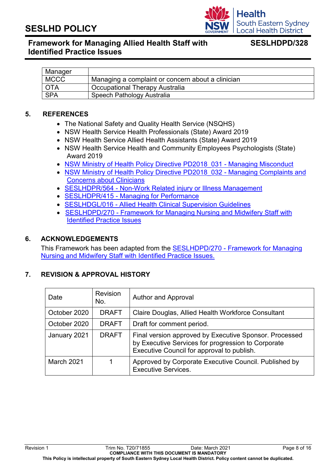

## **Framework for Managing Allied Health Staff with Identified Practice Issues**

## **SESLHDPD/328**

| Manager     |                                                   |
|-------------|---------------------------------------------------|
| <b>MCCC</b> | Managing a complaint or concern about a clinician |
| <b>OTA</b>  | <b>Occupational Therapy Australia</b>             |
| <b>SPA</b>  | Speech Pathology Australia                        |

#### **5. REFERENCES**

- The National Safety and Quality Health Service (NSQHS)
- NSW Health Service Health Professionals (State) Award 2019
- NSW Health Service Allied Health Assistants (State) Award 2019
- NSW Health Service Health and Community Employees Psychologists (State) Award 2019
- NSW Ministry of Health Policy Directive PD2018 031 Managing Misconduct
- NSW Ministry of Health Policy Directive PD2018 032 Managing Complaints and [Concerns about Clinicians](https://www1.health.nsw.gov.au/pds/Pages/doc.aspx?dn=PD2018_032)
- SESLHDPR/564 [Non-Work Related injury or Illness Management](https://www.seslhd.health.nsw.gov.au/policies-and-publications/functional-group/104)
- SESLHDPR/415 [Managing for Performance](https://www.seslhd.health.nsw.gov.au/sites/default/files/migration/Policies_Procedures_Guidelines/Workforce/HR_Consulting/documents/SESLHDPR415ManagingforPerformance_new.pdf)
- SESLHDGL/016 [Allied Health Clinical Supervision Guidelines](https://www.seslhd.health.nsw.gov.au/policies-and-publications/functional-group/76)
- SESLHDPD/270 [Framework for Managing Nursing and Midwifery Staff with](https://www.seslhd.health.nsw.gov.au/policies-and-publications/functional-group/90)  [Identified Practice Issues](https://www.seslhd.health.nsw.gov.au/policies-and-publications/functional-group/90)

#### **6. ACKNOWLEDGEMENTS**

This Framework has been adapted from the SESLHDPD/270 - [Framework for Managing](https://www.seslhd.health.nsw.gov.au/policies-and-publications/functional-group/90)  [Nursing and Midwifery Staff with Identified Practice Issues.](https://www.seslhd.health.nsw.gov.au/policies-and-publications/functional-group/90)

#### **7. REVISION & APPROVAL HISTORY**

| Date              | <b>Revision</b><br>No. | <b>Author and Approval</b>                                                                                                                                 |
|-------------------|------------------------|------------------------------------------------------------------------------------------------------------------------------------------------------------|
| October 2020      | <b>DRAFT</b>           | Claire Douglas, Allied Health Workforce Consultant                                                                                                         |
| October 2020      | <b>DRAFT</b>           | Draft for comment period.                                                                                                                                  |
| January 2021      | <b>DRAFT</b>           | Final version approved by Executive Sponsor. Processed<br>by Executive Services for progression to Corporate<br>Executive Council for approval to publish. |
| <b>March 2021</b> |                        | Approved by Corporate Executive Council. Published by<br><b>Executive Services.</b>                                                                        |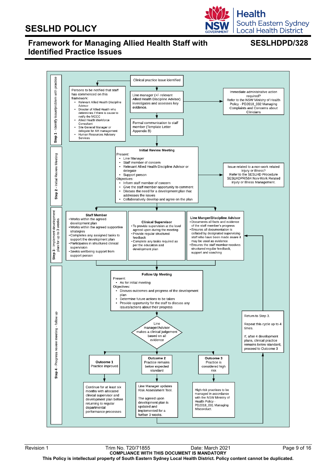

## **Framework for Managing Allied Health Staff with Identified Practice Issues**

## **SESLHDPD/328**

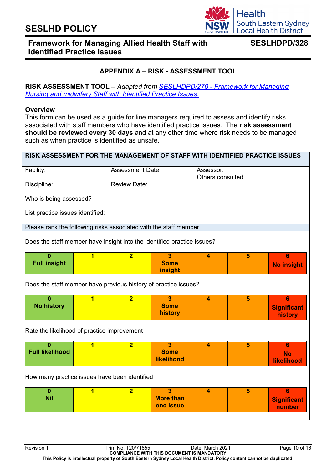

## **SESLHDPD/328**

### **APPENDIX A – RISK - ASSESSMENT TOOL**

#### **RISK ASSESSMENT TOOL** – *Adapted from SESLHDPD/270 - [Framework for Managing](https://www.seslhd.health.nsw.gov.au/policies-and-publications/functional-group/90)  [Nursing and midwifery Staff with Identified Practice Issues.](https://www.seslhd.health.nsw.gov.au/policies-and-publications/functional-group/90)*

#### **Overview**

This form can be used as a guide for line managers required to assess and identify risks associated with staff members who have identified practice issues. The **risk assessment should be reviewed every 30 days** and at any other time where risk needs to be managed such as when practice is identified as unsafe.

| RISK ASSESSMENT FOR THE MANAGEMENT OF STAFF WITH IDENTIFIED PRACTICE ISSUES |                         |                         |                                                             |                         |                   |                                    |  |
|-----------------------------------------------------------------------------|-------------------------|-------------------------|-------------------------------------------------------------|-------------------------|-------------------|------------------------------------|--|
| Facility:                                                                   |                         | <b>Assessment Date:</b> |                                                             | Assessor:               |                   |                                    |  |
| Discipline:                                                                 |                         | <b>Review Date:</b>     |                                                             |                         | Others consulted: |                                    |  |
| Who is being assessed?                                                      |                         |                         |                                                             |                         |                   |                                    |  |
| List practice issues identified:                                            |                         |                         |                                                             |                         |                   |                                    |  |
| Please rank the following risks associated with the staff member            |                         |                         |                                                             |                         |                   |                                    |  |
| Does the staff member have insight into the identified practice issues?     |                         |                         |                                                             |                         |                   |                                    |  |
| $\bf{0}$<br><b>Full insight</b>                                             | 1                       | $\overline{2}$          | $\overline{3}$<br><b>Some</b><br>insight                    | $\overline{\mathbf{4}}$ | 5                 | 6<br><b>No insight</b>             |  |
| Does the staff member have previous history of practice issues?             |                         |                         |                                                             |                         |                   |                                    |  |
| $\Omega$<br><b>No history</b>                                               | 1                       | $\overline{2}$          | $\overline{\mathbf{3}}$<br><b>Some</b><br>history           | $\overline{\mathbf{4}}$ | 5                 | 6<br><b>Significant</b><br>history |  |
| Rate the likelihood of practice improvement                                 |                         |                         |                                                             |                         |                   |                                    |  |
| $\bf{0}$<br><b>Full likelihood</b>                                          | 1                       | $\overline{2}$          | $\overline{\mathbf{3}}$<br><b>Some</b><br><b>likelihood</b> | $\overline{\mathbf{4}}$ | 5                 | 6<br><b>No</b><br>likelihood       |  |
| How many practice issues have been identified                               |                         |                         |                                                             |                         |                   |                                    |  |
| $\bf{0}$<br><b>Nil</b>                                                      | $\overline{\mathbf{1}}$ | $\overline{2}$          | $\overline{\mathbf{3}}$<br><b>More than</b><br>one issue    | $\overline{\mathbf{4}}$ | 5                 | 6<br><b>Significant</b><br>number  |  |
|                                                                             |                         |                         |                                                             |                         |                   |                                    |  |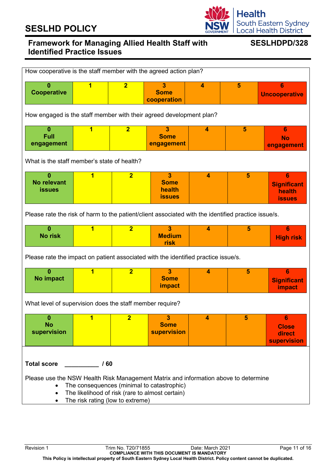

## **Framework for Managing Allied Health Staff with Identified Practice Issues**

## **SESLHDPD/328**

| How cooperative is the staff member with the agreed action plan?                                                                                                                                                                                                       |                         |                |                                                                   |                         |                |                                                                 |
|------------------------------------------------------------------------------------------------------------------------------------------------------------------------------------------------------------------------------------------------------------------------|-------------------------|----------------|-------------------------------------------------------------------|-------------------------|----------------|-----------------------------------------------------------------|
| $\bf{0}$<br><b>Cooperative</b>                                                                                                                                                                                                                                         | 1                       | $\overline{2}$ | 3<br><b>Some</b><br>cooperation                                   | $\blacktriangleleft$    | 5              | 6<br><b>Uncooperative</b>                                       |
| How engaged is the staff member with their agreed development plan?                                                                                                                                                                                                    |                         |                |                                                                   |                         |                |                                                                 |
| $\mathbf{0}$<br><b>Full</b><br>engagement                                                                                                                                                                                                                              | 1                       | $\overline{2}$ | 3<br><b>Some</b><br>engagement                                    | 4                       | $5\phantom{1}$ | 6<br><b>No</b><br>engagement                                    |
| What is the staff member's state of health?                                                                                                                                                                                                                            |                         |                |                                                                   |                         |                |                                                                 |
| $\mathbf{0}$<br><b>No relevant</b><br><b>issues</b>                                                                                                                                                                                                                    | $\overline{\mathbf{1}}$ | $\overline{2}$ | $\overline{\mathbf{3}}$<br><b>Some</b><br>health<br><b>issues</b> | $\overline{\mathbf{4}}$ | 5              | $6\phantom{1}$<br><b>Significant</b><br>health<br><b>issues</b> |
| Please rate the risk of harm to the patient/client associated with the identified practice issue/s.                                                                                                                                                                    |                         |                |                                                                   |                         |                |                                                                 |
| $\mathbf{0}$<br><b>No risk</b>                                                                                                                                                                                                                                         | $\overline{\mathbf{1}}$ | $\overline{2}$ | 3<br><b>Medium</b><br>risk                                        | $\overline{\mathbf{4}}$ | 5              | 6<br><b>High risk</b>                                           |
| Please rate the impact on patient associated with the identified practice issue/s.                                                                                                                                                                                     |                         |                |                                                                   |                         |                |                                                                 |
| $\mathbf{0}$<br>No impact                                                                                                                                                                                                                                              | 1                       | $\overline{2}$ | 3<br><b>Some</b><br>impact                                        | $\overline{\mathbf{4}}$ | 5              | 6<br><b>Significant</b><br><b>impact</b>                        |
| What level of supervision does the staff member require?                                                                                                                                                                                                               |                         |                |                                                                   |                         |                |                                                                 |
| $\bf{0}$<br><b>No</b><br>supervision                                                                                                                                                                                                                                   | 1                       | $\overline{2}$ | 3<br><b>Some</b><br><b>supervision</b>                            | 4                       | 5              | 6<br><b>Close</b><br>direct<br><b>supervision</b>               |
| Total score / 60<br>Please use the NSW Health Risk Management Matrix and information above to determine<br>The consequences (minimal to catastrophic)<br>$\bullet$<br>The likelihood of risk (rare to almost certain)<br>$\bullet$<br>The risk rating (low to extreme) |                         |                |                                                                   |                         |                |                                                                 |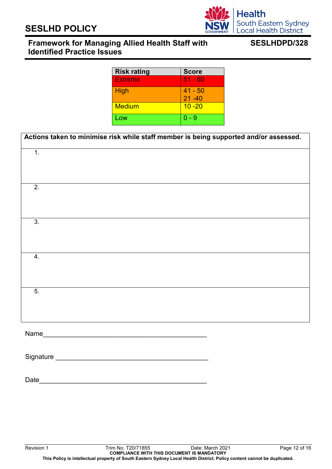## **Framework for Managing Allied Health Staff with Identified Practice Issues**

## **SESLHDPD/328**

| <b>Risk rating</b> | <b>Score</b>           |
|--------------------|------------------------|
| <b>Extreme</b>     | $51 - 60$              |
| <b>High</b>        | $41 - 50$<br>$21 - 40$ |
| <b>Medium</b>      | $10 - 20$              |
| Low                | 0 - 9                  |

| Actions taken to minimise risk while staff member is being supported and/or assessed. |
|---------------------------------------------------------------------------------------|
|                                                                                       |
|                                                                                       |
|                                                                                       |
|                                                                                       |
|                                                                                       |
|                                                                                       |
|                                                                                       |
|                                                                                       |
|                                                                                       |
|                                                                                       |
|                                                                                       |
|                                                                                       |
|                                                                                       |
|                                                                                       |

Date\_\_\_\_\_\_\_\_\_\_\_\_\_\_\_\_\_\_\_\_\_\_\_\_\_\_\_\_\_\_\_\_\_\_\_\_\_\_\_\_\_\_\_\_\_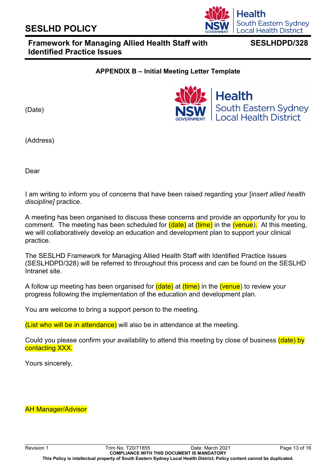## **Framework for Managing Allied Health Staff with Identified Practice Issues**

### **APPENDIX B – Initial Meeting Letter Template**

(Date)

(Address)

Dear

I am writing to inform you of concerns that have been raised regarding your [*insert allied health discipline]* practice.

A meeting has been organised to discuss these concerns and provide an opportunity for you to comment. The meeting has been scheduled for (date) at (time) in the (venue). At this meeting, we will collaboratively develop an education and development plan to support your clinical practice.

The SESLHD Framework for Managing Allied Health Staff with Identified Practice Issues (SESLHDPD/328) will be referred to throughout this process and can be found on the SESLHD Intranet site.

A follow up meeting has been organised for (date) at (time) in the (venue) to review your progress following the implementation of the education and development plan.

You are welcome to bring a support person to the meeting.

(List who will be in attendance) will also be in attendance at the meeting.

Could you please confirm your availability to attend this meeting by close of business (date) by contacting XXX.

Yours sincerely,

AH Manager/Advisor





**SESLHDPD/328**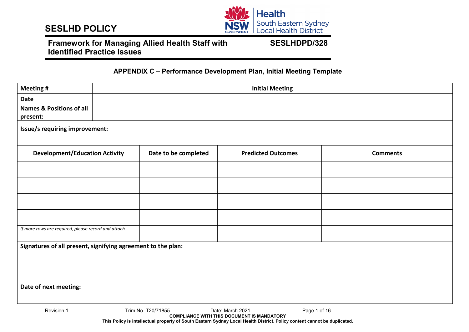

## **Framework for Managing Allied Health Staff with Identified Practice Issues**

### **SESLHDPD/328**

#### **APPENDIX C – Performance Development Plan, Initial Meeting Template**

| <b>Meeting#</b>                                              | <b>Initial Meeting</b>                               |                      |                           |                 |  |  |  |
|--------------------------------------------------------------|------------------------------------------------------|----------------------|---------------------------|-----------------|--|--|--|
| Date                                                         |                                                      |                      |                           |                 |  |  |  |
| <b>Names &amp; Positions of all</b><br>present:              |                                                      |                      |                           |                 |  |  |  |
| Issue/s requiring improvement:                               |                                                      |                      |                           |                 |  |  |  |
| <b>Development/Education Activity</b>                        |                                                      | Date to be completed | <b>Predicted Outcomes</b> | <b>Comments</b> |  |  |  |
|                                                              |                                                      |                      |                           |                 |  |  |  |
|                                                              |                                                      |                      |                           |                 |  |  |  |
|                                                              |                                                      |                      |                           |                 |  |  |  |
|                                                              |                                                      |                      |                           |                 |  |  |  |
|                                                              |                                                      |                      |                           |                 |  |  |  |
|                                                              | If more rows are required, please record and attach. |                      |                           |                 |  |  |  |
| Signatures of all present, signifying agreement to the plan: |                                                      |                      |                           |                 |  |  |  |
|                                                              |                                                      |                      |                           |                 |  |  |  |
|                                                              |                                                      |                      |                           |                 |  |  |  |
| Date of next meeting:                                        |                                                      |                      |                           |                 |  |  |  |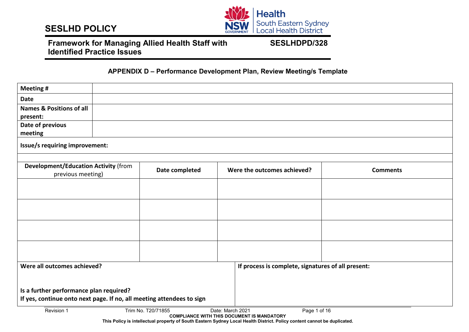

## **Framework for Managing Allied Health Staff with Identified Practice Issues**

**SESLHDPD/328**

#### **APPENDIX D – Performance Development Plan, Review Meeting/s Template**

| <b>Meeting#</b>                                                       |  |                    |                                                                                       |                 |  |  |
|-----------------------------------------------------------------------|--|--------------------|---------------------------------------------------------------------------------------|-----------------|--|--|
| <b>Date</b>                                                           |  |                    |                                                                                       |                 |  |  |
| <b>Names &amp; Positions of all</b>                                   |  |                    |                                                                                       |                 |  |  |
| present:                                                              |  |                    |                                                                                       |                 |  |  |
| Date of previous                                                      |  |                    |                                                                                       |                 |  |  |
| meeting                                                               |  |                    |                                                                                       |                 |  |  |
| Issue/s requiring improvement:                                        |  |                    |                                                                                       |                 |  |  |
|                                                                       |  |                    |                                                                                       |                 |  |  |
| <b>Development/Education Activity (from</b>                           |  | Date completed     | Were the outcomes achieved?                                                           | <b>Comments</b> |  |  |
| previous meeting)                                                     |  |                    |                                                                                       |                 |  |  |
|                                                                       |  |                    |                                                                                       |                 |  |  |
|                                                                       |  |                    |                                                                                       |                 |  |  |
|                                                                       |  |                    |                                                                                       |                 |  |  |
|                                                                       |  |                    |                                                                                       |                 |  |  |
|                                                                       |  |                    |                                                                                       |                 |  |  |
|                                                                       |  |                    |                                                                                       |                 |  |  |
|                                                                       |  |                    |                                                                                       |                 |  |  |
|                                                                       |  |                    |                                                                                       |                 |  |  |
| Were all outcomes achieved?                                           |  |                    | If process is complete, signatures of all present:                                    |                 |  |  |
|                                                                       |  |                    |                                                                                       |                 |  |  |
| Is a further performance plan required?                               |  |                    |                                                                                       |                 |  |  |
| If yes, continue onto next page. If no, all meeting attendees to sign |  |                    |                                                                                       |                 |  |  |
| Revision 1                                                            |  | Trim No. T20/71855 | Date: March 2021<br>Page 1 of 16<br><b>COMPLIANCE WITH THIS DOCUMENT IS MANDATORY</b> |                 |  |  |

**This Policy is intellectual property of South Eastern Sydney Local Health District. Policy content cannot be duplicated.**